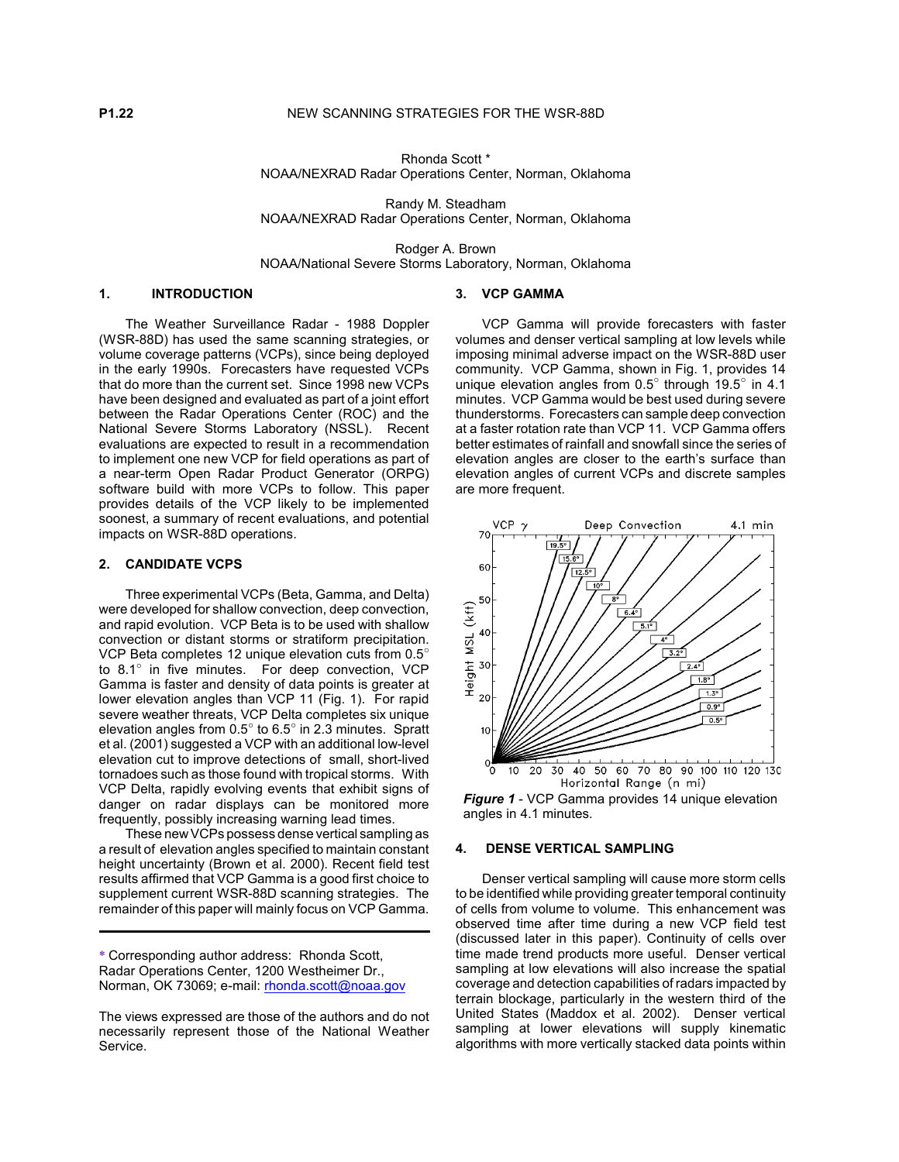Rhonda Scott \* NOAA/NEXRAD Radar Operations Center, Norman, Oklahoma

Randy M. Steadham NOAA/NEXRAD Radar Operations Center, Norman, Oklahoma

Rodger A. Brown NOAA/National Severe Storms Laboratory, Norman, Oklahoma

#### **1. INTRODUCTION**

The Weather Surveillance Radar - 1988 Doppler (WSR-88D) has used the same scanning strategies, or volume coverage patterns (VCPs), since being deployed in the early 1990s. Forecasters have requested VCPs that do more than the current set. Since 1998 new VCPs have been designed and evaluated as part of a joint effort between the Radar Operations Center (ROC) and the National Severe Storms Laboratory (NSSL). Recent evaluations are expected to result in a recommendation to implement one new VCP for field operations as part of a near-term Open Radar Product Generator (ORPG) software build with more VCPs to follow. This paper provides details of the VCP likely to be implemented soonest, a summary of recent evaluations, and potential impacts on WSR-88D operations.

## **2. CANDIDATE VCPS**

Three experimental VCPs (Beta, Gamma, and Delta) were developed for shallow convection, deep convection, and rapid evolution. VCP Beta is to be used with shallow convection or distant storms or stratiform precipitation. VCP Beta completes 12 unique elevation cuts from  $0.5^\circ$ to  $8.1^\circ$  in five minutes. For deep convection, VCP Gamma is faster and density of data points is greater at lower elevation angles than VCP 11 (Fig. 1). For rapid severe weather threats, VCP Delta completes six unique elevation angles from  $0.5^{\circ}$  to  $6.5^{\circ}$  in 2.3 minutes. Spratt et al. (2001) suggested a VCP with an additional low-level elevation cut to improve detections of small, short-lived tornadoes such as those found with tropical storms. With VCP Delta, rapidly evolving events that exhibit signs of danger on radar displays can be monitored more frequently, possibly increasing warning lead times.

These new VCPs possess dense vertical sampling as a result of elevation angles specified to maintain constant height uncertainty (Brown et al. 2000). Recent field test results affirmed that VCP Gamma is a good first choice to supplement current WSR-88D scanning strategies. The remainder of this paper will mainly focus on VCP Gamma.

#### **3. VCP GAMMA**

VCP Gamma will provide forecasters with faster volumes and denser vertical sampling at low levels while imposing minimal adverse impact on the WSR-88D user community. VCP Gamma, shown in Fig. 1, provides 14 unique elevation angles from  $0.5^{\circ}$  through 19.5° in 4.1 minutes. VCP Gamma would be best used during severe thunderstorms. Forecasters can sample deep convection at a faster rotation rate than VCP 11. VCP Gamma offers better estimates of rainfall and snowfall since the series of elevation angles are closer to the earth's surface than elevation angles of current VCPs and discrete samples are more frequent.



*Figure 1* - VCP Gamma provides 14 unique elevation angles in 4.1 minutes*.*

## **4. DENSE VERTICAL SAMPLING**

Denser vertical sampling will cause more storm cells to be identified while providing greater temporal continuity of cells from volume to volume. This enhancement was observed time after time during a new VCP field test (discussed later in this paper). Continuity of cells over time made trend products more useful. Denser vertical sampling at low elevations will also increase the spatial coverage and detection capabilities of radars impacted by terrain blockage, particularly in the western third of the United States (Maddox et al. 2002). Denser vertical sampling at lower elevations will supply kinematic algorithms with more vertically stacked data points within

<sup>\*</sup> Corresponding author address: Rhonda Scott, Radar Operations Center, 1200 Westheimer Dr., Norman, OK 73069; e-mail: rhonda.scott@noaa.gov

The views expressed are those of the authors and do not necessarily represent those of the National Weather Service.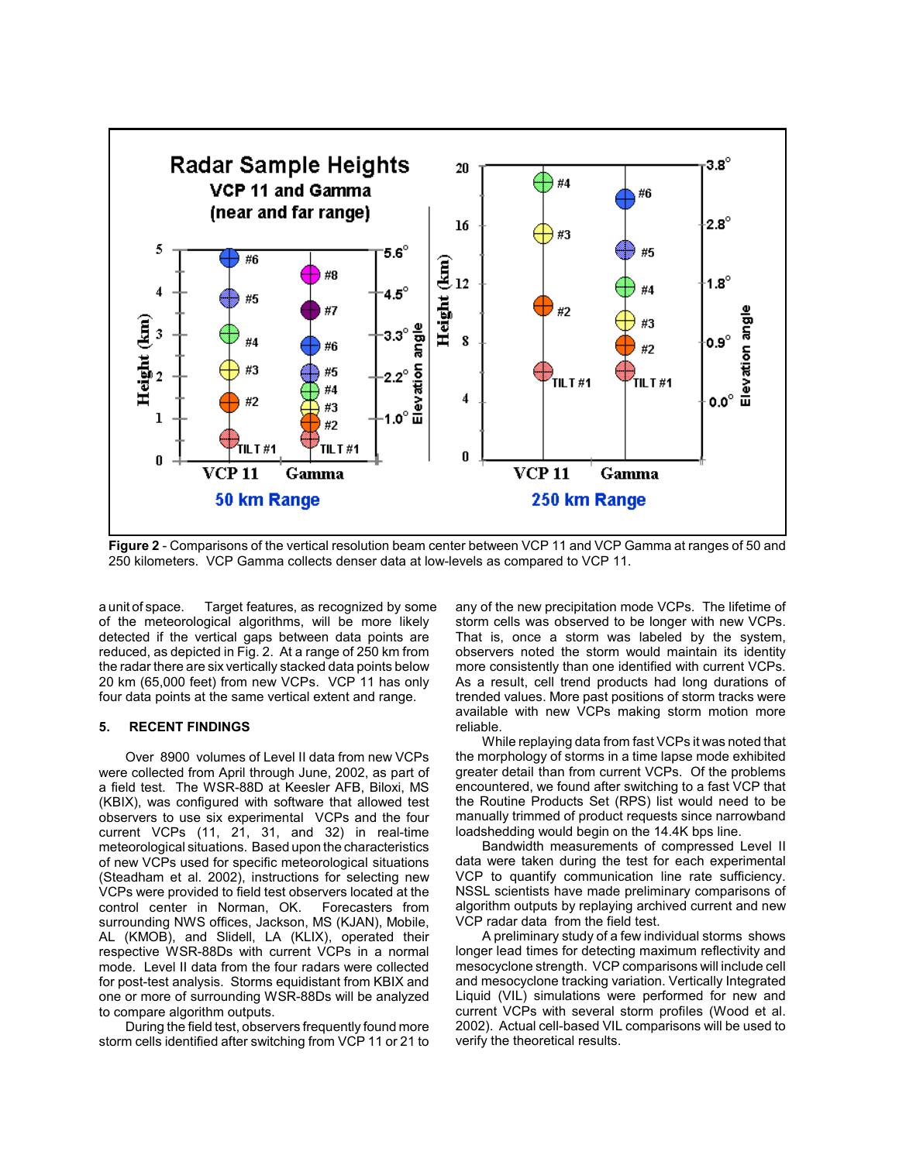

**Figure 2** - Comparisons of the vertical resolution beam center between VCP 11 and VCP Gamma at ranges of 50 and 250 kilometers. VCP Gamma collects denser data at low-levels as compared to VCP 11.

a unit of space. Target features, as recognized by some of the meteorological algorithms, will be more likely detected if the vertical gaps between data points are reduced, as depicted in Fig. 2. At a range of 250 km from the radar there are six vertically stacked data points below 20 km (65,000 feet) from new VCPs. VCP 11 has only four data points at the same vertical extent and range.

## **5. RECENT FINDINGS**

Over 8900 volumes of Level II data from new VCPs were collected from April through June, 2002, as part of a field test. The WSR-88D at Keesler AFB, Biloxi, MS (KBIX), was configured with software that allowed test observers to use six experimental VCPs and the four current VCPs (11, 21, 31, and 32) in real-time meteorological situations. Based upon the characteristics of new VCPs used for specific meteorological situations (Steadham et al. 2002), instructions for selecting new VCPs were provided to field test observers located at the control center in Norman, OK. Forecasters from surrounding NWS offices, Jackson, MS (KJAN), Mobile, AL (KMOB), and Slidell, LA (KLIX), operated their respective WSR-88Ds with current VCPs in a normal mode. Level II data from the four radars were collected for post-test analysis. Storms equidistant from KBIX and one or more of surrounding WSR-88Ds will be analyzed to compare algorithm outputs.

During the field test, observers frequently found more storm cells identified after switching from VCP 11 or 21 to any of the new precipitation mode VCPs. The lifetime of storm cells was observed to be longer with new VCPs. That is, once a storm was labeled by the system, observers noted the storm would maintain its identity more consistently than one identified with current VCPs. As a result, cell trend products had long durations of trended values. More past positions of storm tracks were available with new VCPs making storm motion more reliable.

While replaying data from fast VCPs it was noted that the morphology of storms in a time lapse mode exhibited greater detail than from current VCPs. Of the problems encountered, we found after switching to a fast VCP that the Routine Products Set (RPS) list would need to be manually trimmed of product requests since narrowband loadshedding would begin on the 14.4K bps line.

Bandwidth measurements of compressed Level II data were taken during the test for each experimental VCP to quantify communication line rate sufficiency. NSSL scientists have made preliminary comparisons of algorithm outputs by replaying archived current and new VCP radar data from the field test.

A preliminary study of a few individual storms shows longer lead times for detecting maximum reflectivity and mesocyclone strength. VCP comparisons will include cell and mesocyclone tracking variation. Vertically Integrated Liquid (VIL) simulations were performed for new and current VCPs with several storm profiles (Wood et al. 2002). Actual cell-based VIL comparisons will be used to verify the theoretical results.